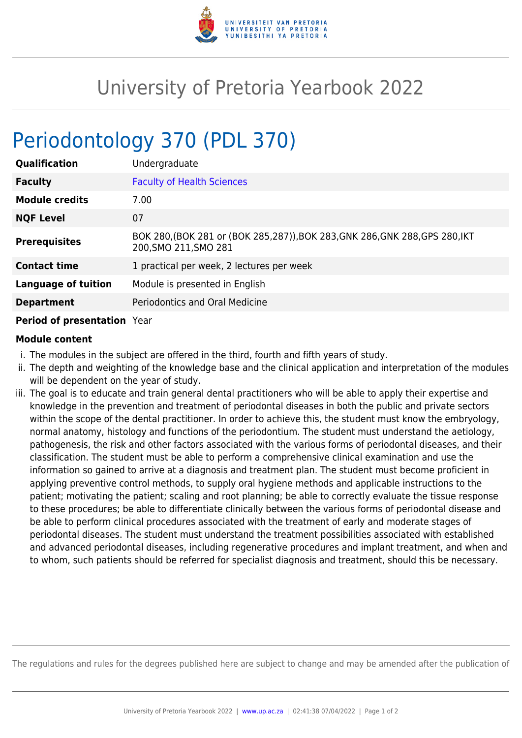

## University of Pretoria Yearbook 2022

## Periodontology 370 (PDL 370)

| <b>Qualification</b>       | Undergraduate                                                                                          |
|----------------------------|--------------------------------------------------------------------------------------------------------|
| <b>Faculty</b>             | <b>Faculty of Health Sciences</b>                                                                      |
| <b>Module credits</b>      | 7.00                                                                                                   |
| <b>NQF Level</b>           | 07                                                                                                     |
| <b>Prerequisites</b>       | BOK 280, (BOK 281 or (BOK 285, 287)), BOK 283, GNK 286, GNK 288, GPS 280, IKT<br>200, SMO 211, SMO 281 |
| <b>Contact time</b>        | 1 practical per week, 2 lectures per week                                                              |
| <b>Language of tuition</b> | Module is presented in English                                                                         |
| <b>Department</b>          | <b>Periodontics and Oral Medicine</b>                                                                  |
|                            |                                                                                                        |

## **Period of presentation** Year

## **Module content**

- i. The modules in the subject are offered in the third, fourth and fifth years of study.
- ii. The depth and weighting of the knowledge base and the clinical application and interpretation of the modules will be dependent on the year of study.
- iii. The goal is to educate and train general dental practitioners who will be able to apply their expertise and knowledge in the prevention and treatment of periodontal diseases in both the public and private sectors within the scope of the dental practitioner. In order to achieve this, the student must know the embryology, normal anatomy, histology and functions of the periodontium. The student must understand the aetiology, pathogenesis, the risk and other factors associated with the various forms of periodontal diseases, and their classification. The student must be able to perform a comprehensive clinical examination and use the information so gained to arrive at a diagnosis and treatment plan. The student must become proficient in applying preventive control methods, to supply oral hygiene methods and applicable instructions to the patient; motivating the patient; scaling and root planning; be able to correctly evaluate the tissue response to these procedures; be able to differentiate clinically between the various forms of periodontal disease and be able to perform clinical procedures associated with the treatment of early and moderate stages of periodontal diseases. The student must understand the treatment possibilities associated with established and advanced periodontal diseases, including regenerative procedures and implant treatment, and when and to whom, such patients should be referred for specialist diagnosis and treatment, should this be necessary.

The regulations and rules for the degrees published here are subject to change and may be amended after the publication of